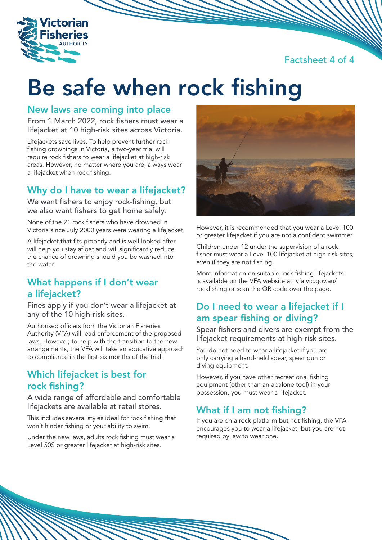Factsheet 4 of 4



# Be safe when rock fishing

#### New laws are coming into place

From 1 March 2022, rock fishers must wear a lifejacket at 10 high-risk sites across Victoria.

Lifejackets save lives. To help prevent further rock fishing drownings in Victoria, a two-year trial will require rock fishers to wear a lifejacket at high-risk areas. However, no matter where you are, always wear a lifejacket when rock fishing.

# Why do I have to wear a lifejacket?

We want fishers to enjoy rock-fishing, but we also want fishers to get home safely.

None of the 21 rock fishers who have drowned in Victoria since July 2000 years were wearing a lifejacket.

A lifejacket that fits properly and is well looked after will help you stay afloat and will significantly reduce the chance of drowning should you be washed into the water.

# What happens if I don't wear a lifejacket?

Fines apply if you don't wear a lifejacket at any of the 10 high-risk sites.

Authorised officers from the Victorian Fisheries Authority (VFA) will lead enforcement of the proposed laws. However, to help with the transition to the new arrangements, the VFA will take an educative approach to compliance in the first six months of the trial.

### Which lifejacket is best for rock fishing?

A wide range of affordable and comfortable lifejackets are available at retail stores.

This includes several styles ideal for rock fishing that won't hinder fishing or your ability to swim.

Under the new laws, adults rock fishing must wear a Level 50S or greater lifejacket at high-risk sites.



However, it is recommended that you wear a Level 100 or greater lifejacket if you are not a confident swimmer.

Children under 12 under the supervision of a rock fisher must wear a Level 100 lifejacket at high-risk sites, even if they are not fishing.

More information on suitable rock fishing lifejackets is available on the VFA website at: vfa.vic.gov.au/ rockfishing or scan the QR code over the page.

# Do I need to wear a lifejacket if I am spear fishing or diving?

Spear fishers and divers are exempt from the lifejacket requirements at high-risk sites.

You do not need to wear a lifejacket if you are only carrying a hand-held spear, spear gun or diving equipment.

However, if you have other recreational fishing equipment (other than an abalone tool) in your possession, you must wear a lifejacket.

# What if I am not fishing?

If you are on a rock platform but not fishing, the VFA encourages you to wear a lifejacket, but you are not required by law to wear one.